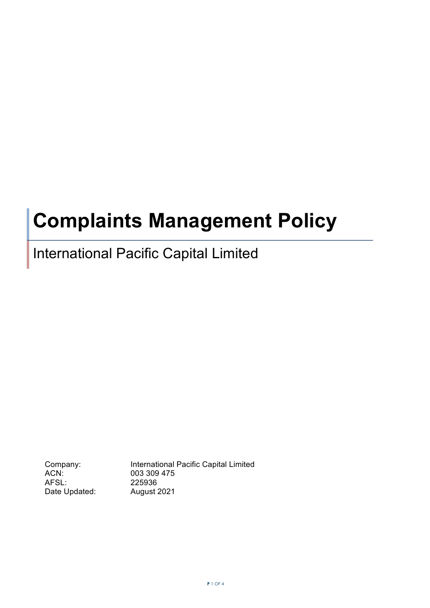# **Complaints Management Policy**

# International Pacific Capital Limited

ACN: 003 309 475 AFSL: 225936 Date Updated: August 2021

Company: International Pacific Capital Limited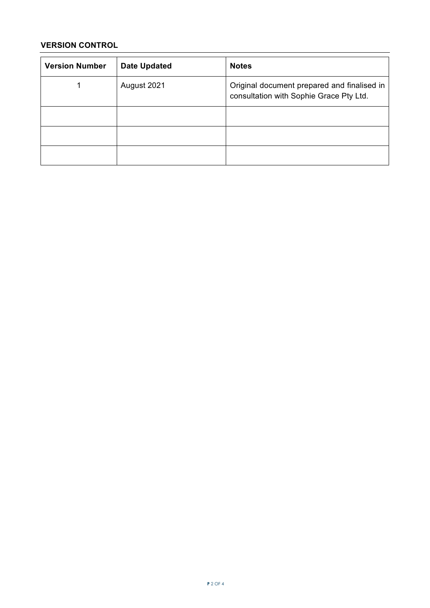## **VERSION CONTROL**

| <b>Version Number</b> | <b>Date Updated</b> | <b>Notes</b>                                                                           |
|-----------------------|---------------------|----------------------------------------------------------------------------------------|
|                       | August 2021         | Original document prepared and finalised in<br>consultation with Sophie Grace Pty Ltd. |
|                       |                     |                                                                                        |
|                       |                     |                                                                                        |
|                       |                     |                                                                                        |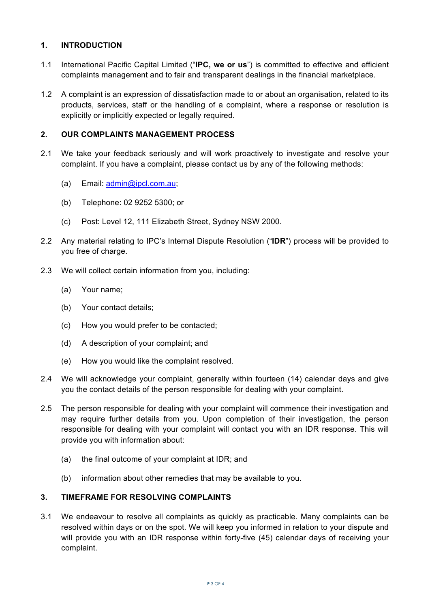#### **1. INTRODUCTION**

- 1.1 International Pacific Capital Limited ("**IPC, we or us**") is committed to effective and efficient complaints management and to fair and transparent dealings in the financial marketplace.
- 1.2 A complaint is an expression of dissatisfaction made to or about an organisation, related to its products, services, staff or the handling of a complaint, where a response or resolution is explicitly or implicitly expected or legally required.

#### **2. OUR COMPLAINTS MANAGEMENT PROCESS**

- 2.1 We take your feedback seriously and will work proactively to investigate and resolve your complaint. If you have a complaint, please contact us by any of the following methods:
	- (a) Email: admin@ipcl.com.au;
	- (b) Telephone: 02 9252 5300; or
	- (c) Post: Level 12, 111 Elizabeth Street, Sydney NSW 2000.
- 2.2 Any material relating to IPC's Internal Dispute Resolution ("**IDR**") process will be provided to you free of charge.
- 2.3 We will collect certain information from you, including:
	- (a) Your name;
	- (b) Your contact details;
	- (c) How you would prefer to be contacted;
	- (d) A description of your complaint; and
	- (e) How you would like the complaint resolved.
- 2.4 We will acknowledge your complaint, generally within fourteen (14) calendar days and give you the contact details of the person responsible for dealing with your complaint.
- 2.5 The person responsible for dealing with your complaint will commence their investigation and may require further details from you. Upon completion of their investigation, the person responsible for dealing with your complaint will contact you with an IDR response. This will provide you with information about:
	- (a) the final outcome of your complaint at IDR; and
	- (b) information about other remedies that may be available to you.

### **3. TIMEFRAME FOR RESOLVING COMPLAINTS**

3.1 We endeavour to resolve all complaints as quickly as practicable. Many complaints can be resolved within days or on the spot. We will keep you informed in relation to your dispute and will provide you with an IDR response within forty-five (45) calendar days of receiving your complaint.